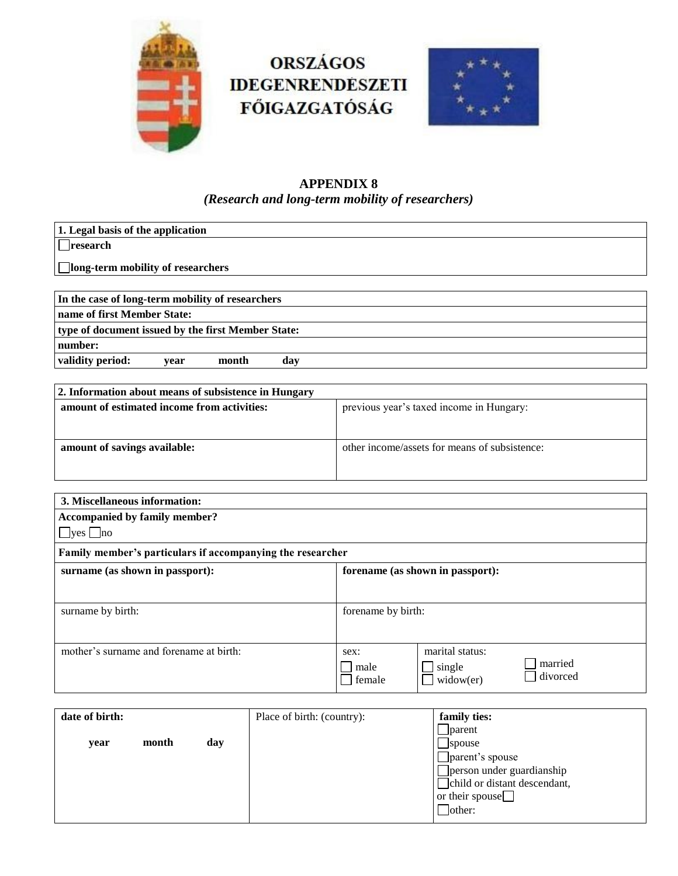

# **ORSZÁGOS IDEGENRENDESZETI FŐIGAZGATÓSÁG**



### **APPENDIX 8** *(Research and long-term mobility of researchers)*

| 1. Legal basis of the application                  |
|----------------------------------------------------|
| $\Box$ research                                    |
| <b>Iong-term mobility of researchers</b>           |
|                                                    |
| In the case of long-term mobility of researchers   |
| name of first Member State:                        |
| type of document issued by the first Member State: |
| number:                                            |
| validity period:<br>month<br>dav<br>vear           |

| 2. Information about means of subsistence in Hungary |                                               |  |  |
|------------------------------------------------------|-----------------------------------------------|--|--|
| amount of estimated income from activities:          | previous year's taxed income in Hungary:      |  |  |
|                                                      |                                               |  |  |
| amount of savings available:                         | other income/assets for means of subsistence: |  |  |
|                                                      |                                               |  |  |
|                                                      |                                               |  |  |

| 3. Miscellaneous information:                              |                                  |                 |          |  |
|------------------------------------------------------------|----------------------------------|-----------------|----------|--|
| <b>Accompanied by family member?</b>                       |                                  |                 |          |  |
| $\Box$ yes $\Box$ no                                       |                                  |                 |          |  |
| Family member's particulars if accompanying the researcher |                                  |                 |          |  |
| surname (as shown in passport):                            | forename (as shown in passport): |                 |          |  |
|                                                            |                                  |                 |          |  |
| surname by birth:                                          | forename by birth:               |                 |          |  |
|                                                            |                                  |                 |          |  |
| mother's surname and forename at birth:                    | sex:                             | marital status: |          |  |
|                                                            | male                             | $\Box$ single   | married  |  |
|                                                            | female                           | $wide{w}$       | divorced |  |

| date of birth: |       |     | Place of birth: (country): | family ties:                 |
|----------------|-------|-----|----------------------------|------------------------------|
|                |       |     |                            | parent                       |
| vear           | month | day |                            | spouse                       |
|                |       |     |                            | parent's spouse              |
|                |       |     |                            | person under guardianship    |
|                |       |     |                            | child or distant descendant, |
|                |       |     |                            | or their spouse $\Box$       |
|                |       |     |                            | other:                       |
|                |       |     |                            |                              |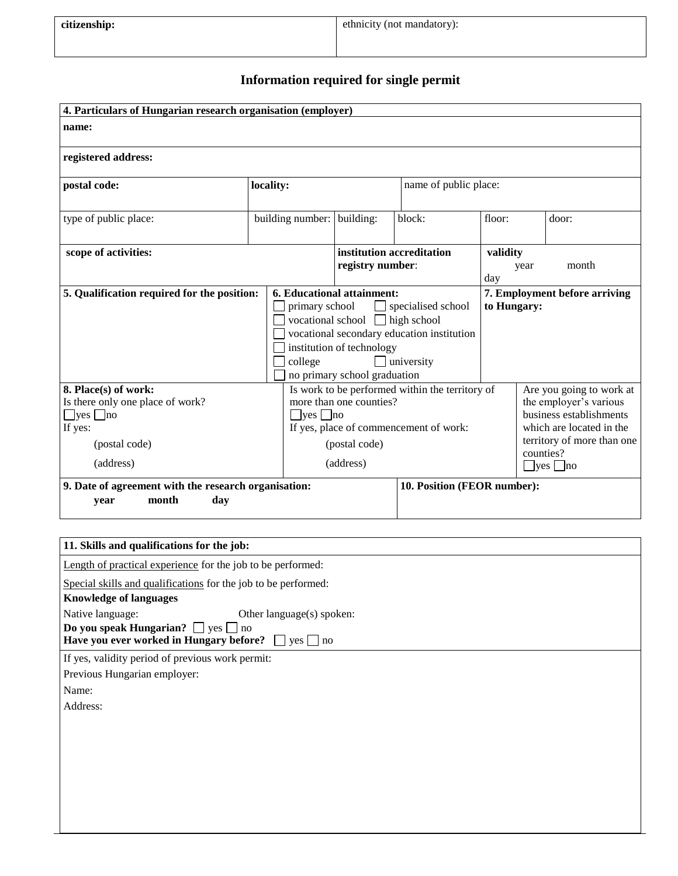## **Information required for single permit**

| 4. Particulars of Hungarian research organisation (employer)                                                              |                                                                                                                                                                            |                                                                                                                                 |                                                                                       |                                                                                                                                                                              |                               |  |
|---------------------------------------------------------------------------------------------------------------------------|----------------------------------------------------------------------------------------------------------------------------------------------------------------------------|---------------------------------------------------------------------------------------------------------------------------------|---------------------------------------------------------------------------------------|------------------------------------------------------------------------------------------------------------------------------------------------------------------------------|-------------------------------|--|
| name:                                                                                                                     |                                                                                                                                                                            |                                                                                                                                 |                                                                                       |                                                                                                                                                                              |                               |  |
| registered address:                                                                                                       |                                                                                                                                                                            |                                                                                                                                 |                                                                                       |                                                                                                                                                                              |                               |  |
| postal code:                                                                                                              | locality:                                                                                                                                                                  |                                                                                                                                 |                                                                                       | name of public place:                                                                                                                                                        |                               |  |
| type of public place:                                                                                                     | building number: building:                                                                                                                                                 |                                                                                                                                 | block:                                                                                | floor:                                                                                                                                                                       | door:                         |  |
| scope of activities:                                                                                                      |                                                                                                                                                                            | institution accreditation<br>registry number:                                                                                   |                                                                                       | validity<br>year<br>day                                                                                                                                                      | month                         |  |
| 5. Qualification required for the position:                                                                               | primary school<br>college                                                                                                                                                  | 6. Educational attainment:<br>vocational school $\Box$ high school<br>institution of technology<br>no primary school graduation | specialised school<br>vocational secondary education institution<br>$\Box$ university | to Hungary:                                                                                                                                                                  | 7. Employment before arriving |  |
| 8. Place(s) of work:<br>Is there only one place of work?<br>$\Box$ yes $\Box$ no<br>If yes:<br>(postal code)<br>(address) | Is work to be performed within the territory of<br>more than one counties?<br>$\Box$ yes $\Box$ no<br>If yes, place of commencement of work:<br>(postal code)<br>(address) |                                                                                                                                 |                                                                                       | Are you going to work at<br>the employer's various<br>business establishments<br>which are located in the<br>territory of more than one<br>counties?<br>$\Box$ yes $\Box$ no |                               |  |
| 9. Date of agreement with the research organisation:<br>month<br>day<br>vear                                              |                                                                                                                                                                            |                                                                                                                                 | 10. Position (FEOR number):                                                           |                                                                                                                                                                              |                               |  |

| 11. Skills and qualifications for the job:                                                                                                                    |  |  |  |  |
|---------------------------------------------------------------------------------------------------------------------------------------------------------------|--|--|--|--|
| Length of practical experience for the job to be performed:                                                                                                   |  |  |  |  |
| Special skills and qualifications for the job to be performed:                                                                                                |  |  |  |  |
| <b>Knowledge of languages</b>                                                                                                                                 |  |  |  |  |
| Native language:<br>Other language(s) spoken:<br>Do you speak Hungarian? $\Box$ yes $\Box$ no<br>Have you ever worked in Hungary before? $\Box$ yes $\Box$ no |  |  |  |  |
| If yes, validity period of previous work permit:                                                                                                              |  |  |  |  |
| Previous Hungarian employer:                                                                                                                                  |  |  |  |  |
| Name:                                                                                                                                                         |  |  |  |  |
| Address:                                                                                                                                                      |  |  |  |  |
|                                                                                                                                                               |  |  |  |  |
|                                                                                                                                                               |  |  |  |  |
|                                                                                                                                                               |  |  |  |  |
|                                                                                                                                                               |  |  |  |  |
|                                                                                                                                                               |  |  |  |  |
|                                                                                                                                                               |  |  |  |  |
|                                                                                                                                                               |  |  |  |  |